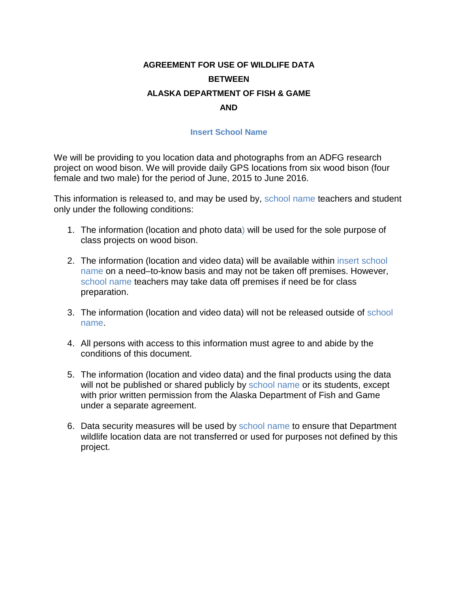## **AGREEMENT FOR USE OF WILDLIFE DATA BETWEEN ALASKA DEPARTMENT OF FISH & GAME AND**

## **Insert School Name**

We will be providing to you location data and photographs from an ADFG research project on wood bison. We will provide daily GPS locations from six wood bison (four female and two male) for the period of June, 2015 to June 2016.

This information is released to, and may be used by, school name teachers and student only under the following conditions:

- 1. The information (location and photo data) will be used for the sole purpose of class projects on wood bison.
- 2. The information (location and video data) will be available within insert school name on a need–to-know basis and may not be taken off premises. However, school name teachers may take data off premises if need be for class preparation.
- 3. The information (location and video data) will not be released outside of school name.
- 4. All persons with access to this information must agree to and abide by the conditions of this document.
- 5. The information (location and video data) and the final products using the data will not be published or shared publicly by school name or its students, except with prior written permission from the Alaska Department of Fish and Game under a separate agreement.
- 6. Data security measures will be used by school name to ensure that Department wildlife location data are not transferred or used for purposes not defined by this project.